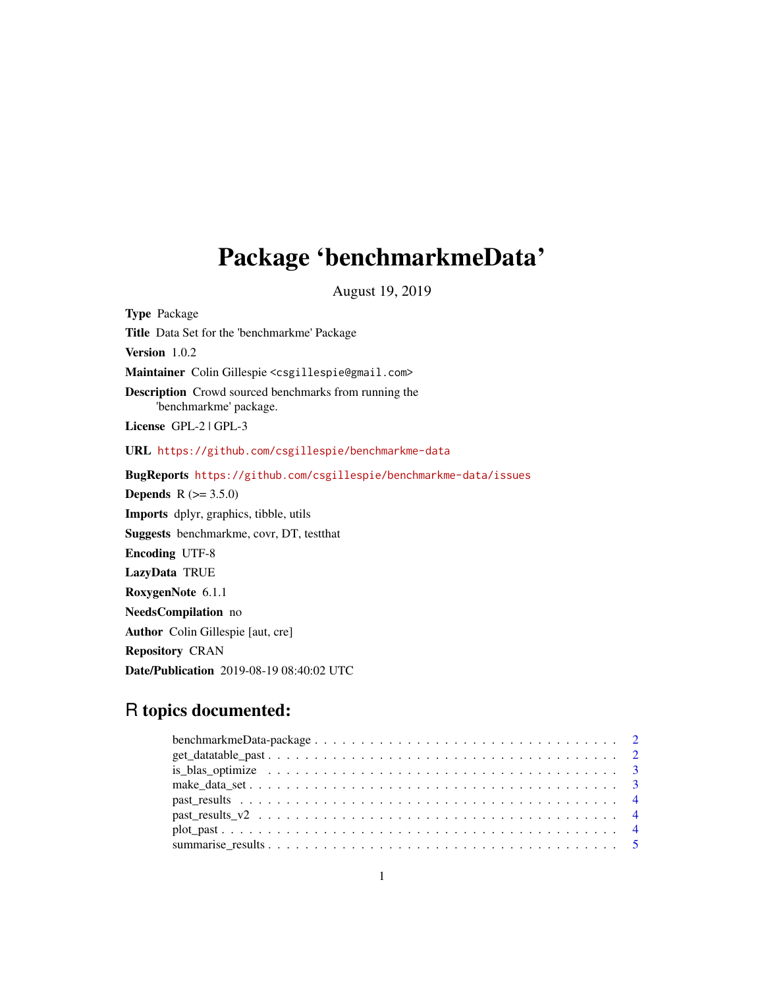# Package 'benchmarkmeData'

August 19, 2019

Type Package Title Data Set for the 'benchmarkme' Package Version 1.0.2 Maintainer Colin Gillespie <csgillespie@gmail.com> Description Crowd sourced benchmarks from running the 'benchmarkme' package. License GPL-2 | GPL-3 URL <https://github.com/csgillespie/benchmarkme-data> BugReports <https://github.com/csgillespie/benchmarkme-data/issues> **Depends**  $R (= 3.5.0)$ Imports dplyr, graphics, tibble, utils Suggests benchmarkme, covr, DT, testthat Encoding UTF-8 LazyData TRUE RoxygenNote 6.1.1 NeedsCompilation no Author Colin Gillespie [aut, cre] Repository CRAN Date/Publication 2019-08-19 08:40:02 UTC

# R topics documented: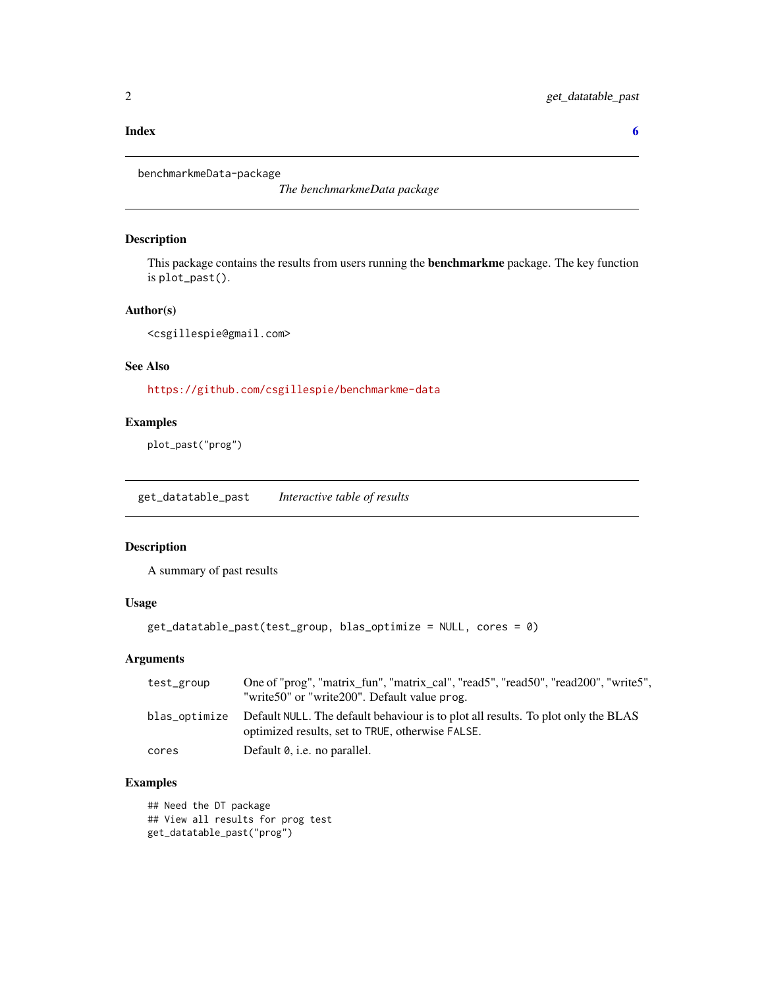#### <span id="page-1-0"></span>**Index** [6](#page-5-0) **6**

benchmarkmeData-package

*The benchmarkmeData package*

# Description

This package contains the results from users running the **benchmarkme** package. The key function is plot\_past().

# Author(s)

<csgillespie@gmail.com>

# See Also

<https://github.com/csgillespie/benchmarkme-data>

# Examples

plot\_past("prog")

get\_datatable\_past *Interactive table of results*

# Description

A summary of past results

# Usage

```
get_datatable_past(test_group, blas_optimize = NULL, cores = 0)
```
# Arguments

| test_group | One of "prog", "matrix_fun", "matrix_cal", "read5", "read50", "read200", "write5",<br>"write 50" or "write 200". Default value prog.                |
|------------|-----------------------------------------------------------------------------------------------------------------------------------------------------|
|            | blas_optimize Default NULL. The default behaviour is to plot all results. To plot only the BLAS<br>optimized results, set to TRUE, otherwise FALSE. |
| cores      | Default 0, i.e. no parallel.                                                                                                                        |

# Examples

## Need the DT package ## View all results for prog test get\_datatable\_past("prog")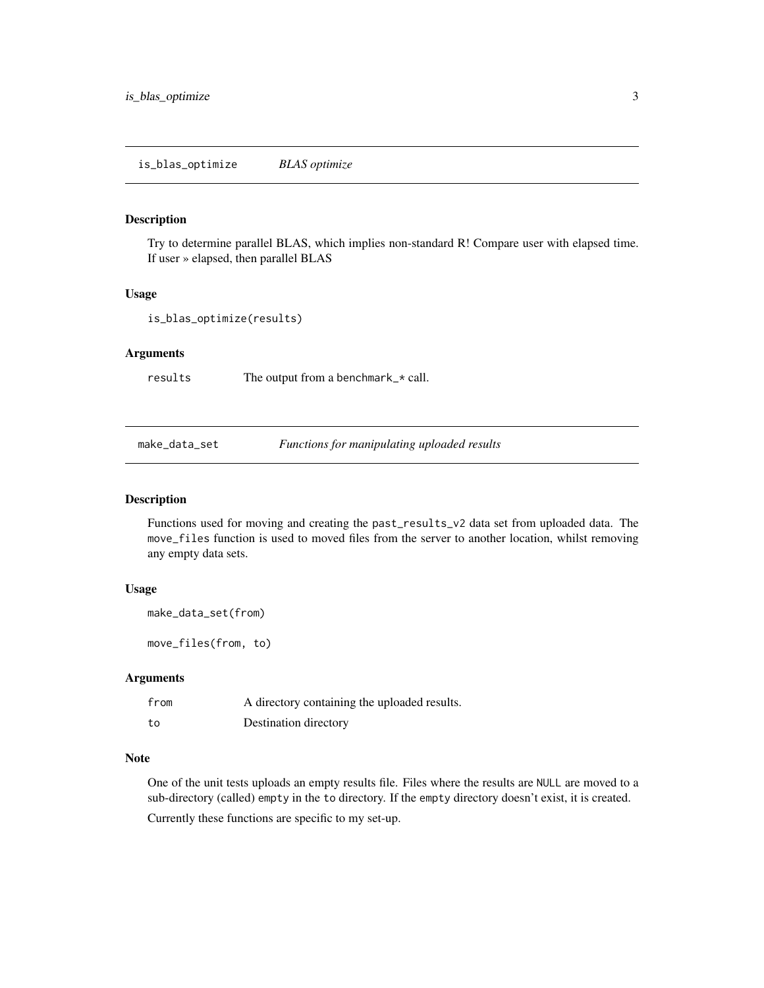# <span id="page-2-0"></span>Description

Try to determine parallel BLAS, which implies non-standard R! Compare user with elapsed time. If user » elapsed, then parallel BLAS

# Usage

```
is_blas_optimize(results)
```
# Arguments

results The output from a benchmark\_\* call.

make\_data\_set *Functions for manipulating uploaded results*

#### Description

Functions used for moving and creating the past\_results\_v2 data set from uploaded data. The move\_files function is used to moved files from the server to another location, whilst removing any empty data sets.

#### Usage

```
make_data_set(from)
```
move\_files(from, to)

# Arguments

| from | A directory containing the uploaded results. |
|------|----------------------------------------------|
| to   | Destination directory                        |

#### Note

One of the unit tests uploads an empty results file. Files where the results are NULL are moved to a sub-directory (called) empty in the to directory. If the empty directory doesn't exist, it is created.

Currently these functions are specific to my set-up.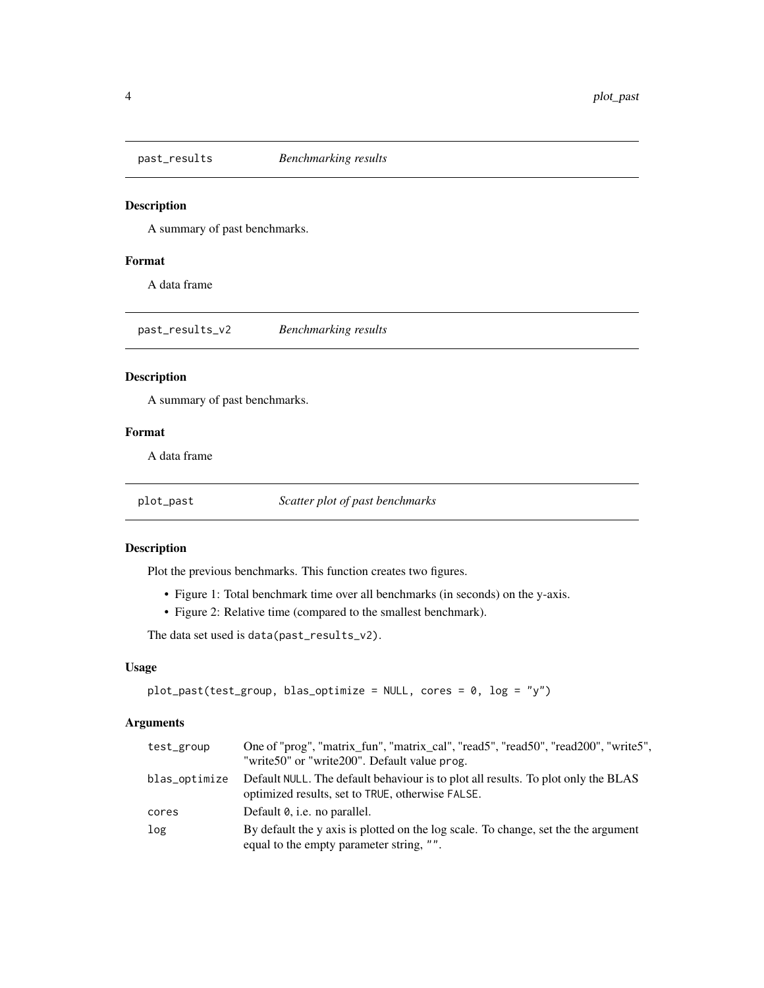<span id="page-3-0"></span>

# Description

A summary of past benchmarks.

# Format

A data frame

past\_results\_v2 *Benchmarking results*

# Description

A summary of past benchmarks.

# Format

A data frame

plot\_past *Scatter plot of past benchmarks*

# Description

Plot the previous benchmarks. This function creates two figures.

- Figure 1: Total benchmark time over all benchmarks (in seconds) on the y-axis.
- Figure 2: Relative time (compared to the smallest benchmark).

The data set used is data(past\_results\_v2).

#### Usage

```
plot_past(test_group, blas_optimize = NULL, cores = 0, log = "y")
```
# Arguments

| test_group    | One of "prog", "matrix_fun", "matrix_cal", "read5", "read50", "read200", "write5",                                                    |
|---------------|---------------------------------------------------------------------------------------------------------------------------------------|
|               | "write50" or "write200". Default value prog.                                                                                          |
| blas_optimize | Default NULL. The default behaviour is to plot all results. To plot only the BLAS<br>optimized results, set to TRUE, otherwise FALSE. |
| cores         | Default 0, <i>i.e.</i> no parallel.                                                                                                   |
| log           | By default the y axis is plotted on the log scale. To change, set the the argument<br>equal to the empty parameter string, "".        |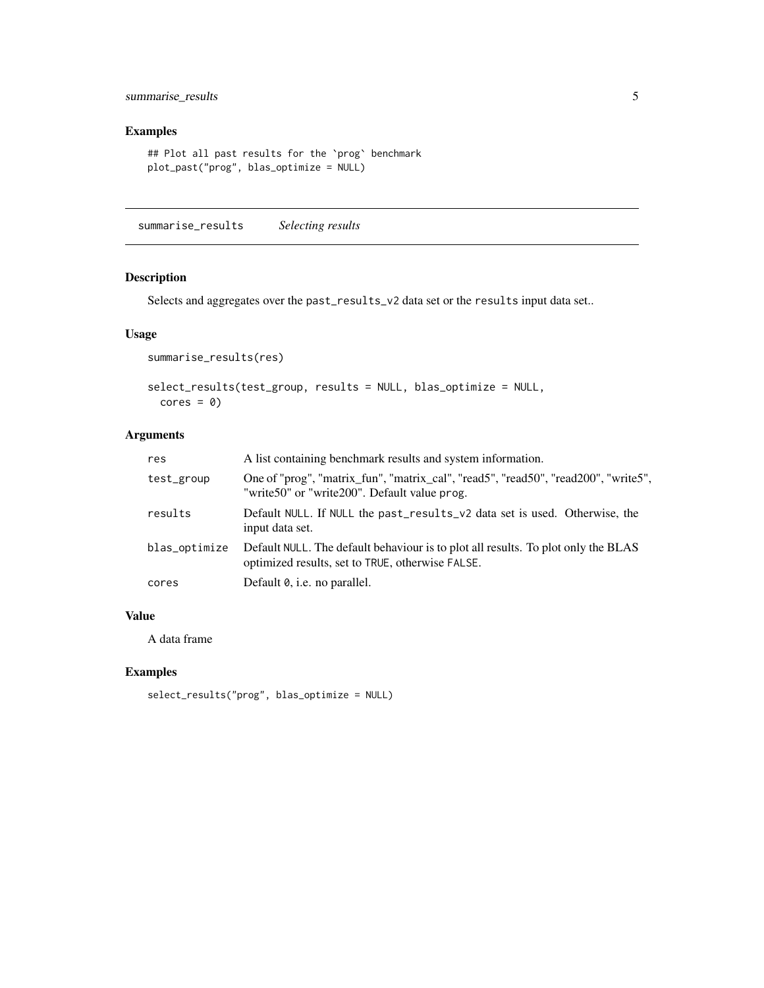# <span id="page-4-0"></span>summarise\_results 5

# Examples

```
## Plot all past results for the `prog` benchmark
plot_past("prog", blas_optimize = NULL)
```
summarise\_results *Selecting results*

# Description

Selects and aggregates over the past\_results\_v2 data set or the results input data set..

# Usage

```
summarise_results(res)
```

```
select_results(test_group, results = NULL, blas_optimize = NULL,
 cores = 0)
```
# Arguments

| res           | A list containing benchmark results and system information.                                                                           |
|---------------|---------------------------------------------------------------------------------------------------------------------------------------|
| test_group    | One of "prog", "matrix_fun", "matrix_cal", "read5", "read50", "read200", "write5",<br>"write50" or "write200". Default value prog.    |
| results       | Default NULL. If NULL the past_results_v2 data set is used. Otherwise, the<br>input data set.                                         |
| blas_optimize | Default NULL. The default behaviour is to plot all results. To plot only the BLAS<br>optimized results, set to TRUE, otherwise FALSE. |
| cores         | Default 0, i.e. no parallel.                                                                                                          |

#### Value

A data frame

# Examples

```
select_results("prog", blas_optimize = NULL)
```